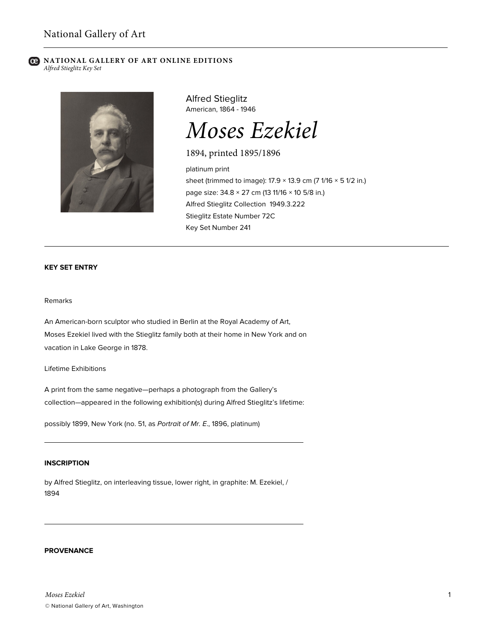#### **B** NATIONAL GALLERY OF ART ONLINE EDITIONS *Alfred Stieglitz Key Set*



Alfred Stieglitz American, 1864 - 1946

# *Moses Ezekiel*

1894, printed 1895/1896

platinum print sheet (trimmed to image):  $17.9 \times 13.9$  cm (7  $1/16 \times 5$  1/2 in.) page size: 34.8 × 27 cm (13 11/16 × 10 5/8 in.) Alfred Stieglitz Collection 1949.3.222 Stieglitz Estate Number 72C Key Set Number 241

# **KEY SET ENTRY**

#### Remarks

An American-born sculptor who studied in Berlin at the Royal Academy of Art, Moses Ezekiel lived with the Stieglitz family both at their home in New York and on vacation in Lake George in 1878.

Lifetime Exhibitions

A print from the same negative—perhaps a photograph from the Gallery's collection—appeared in the following exhibition(s) during Alfred Stieglitz's lifetime:

possibly 1899, New York (no. 51, as *Portrait of Mr. E*., 1896, platinum)

# **INSCRIPTION**

by Alfred Stieglitz, on interleaving tissue, lower right, in graphite: M. Ezekiel, / 1894

#### **PROVENANCE**